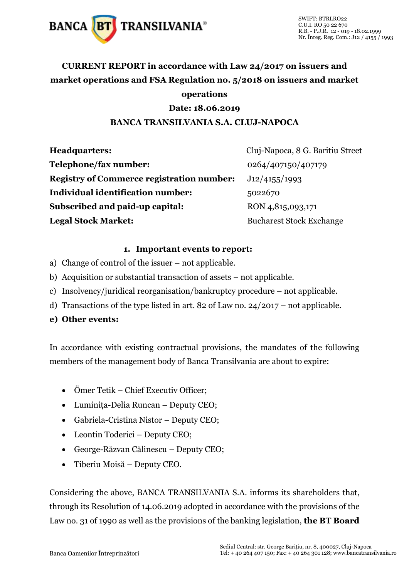

### **CURRENT REPORT in accordance with Law 24/2017 on issuers and market operations and FSA Regulation no. 5/2018 on issuers and market operations**

#### **Date: 18.06.2019**

#### **BANCA TRANSILVANIA S.A. CLUJ-NAPOCA**

| <b>Headquarters:</b>                             | Cluj-Napoca, 8 G. Baritiu Street |
|--------------------------------------------------|----------------------------------|
| Telephone/fax number:                            | 0264/407150/407179               |
| <b>Registry of Commerce registration number:</b> | J12/4155/1993                    |
| <b>Individual identification number:</b>         | 5022670                          |
| Subscribed and paid-up capital:                  | RON 4,815,093,171                |
| <b>Legal Stock Market:</b>                       | <b>Bucharest Stock Exchange</b>  |

#### **1. Important events to report:**

- a) Change of control of the issuer not applicable.
- b) Acquisition or substantial transaction of assets not applicable.
- c) Insolvency/juridical reorganisation/bankruptcy procedure not applicable.
- d) Transactions of the type listed in art. 82 of Law no. 24/2017 not applicable.

#### **e) Other events:**

In accordance with existing contractual provisions, the mandates of the following members of the management body of Banca Transilvania are about to expire:

- Ömer Tetik Chief Executiv Officer;
- Luminița-Delia Runcan Deputy CEO;
- Gabriela-Cristina Nistor Deputy CEO;
- Leontin Toderici Deputy CEO;
- George-Răzvan Călinescu Deputy CEO;
- Tiberiu Moisă Deputy CEO.

Considering the above, BANCA TRANSILVANIA S.A. informs its shareholders that, through its Resolution of 14.06.2019 adopted in accordance with the provisions of the Law no. 31 of 1990 as well as the provisions of the banking legislation, **the BT Board**